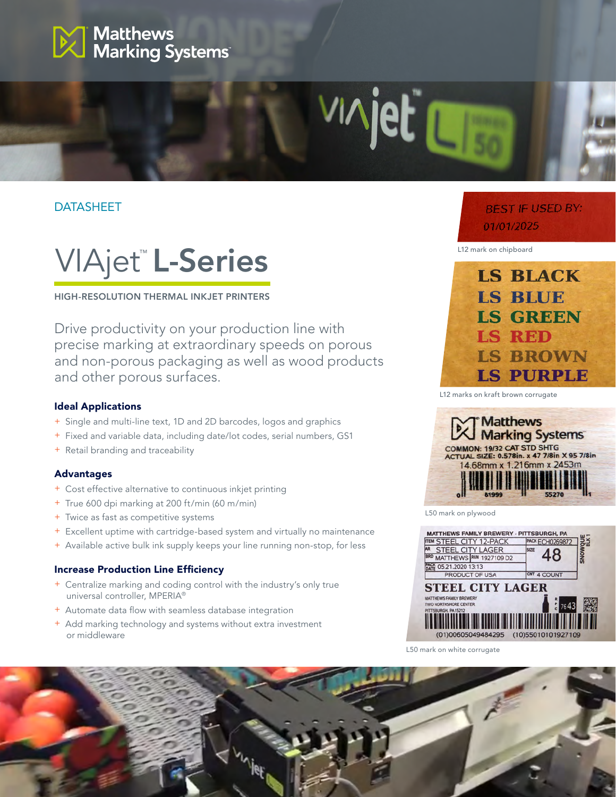

# **DATASHEET**



HIGH-RESOLUTION THERMAL INKJET PRINTERS

Drive productivity on your production line with precise marking at extraordinary speeds on porous and non-porous packaging as well as wood products and other porous surfaces.

#### Ideal Applications

- + Single and multi-line text, 1D and 2D barcodes, logos and graphics
- + Fixed and variable data, including date/lot codes, serial numbers, GS1
- + Retail branding and traceability

#### Advantages

- + Cost effective alternative to continuous inkjet printing
- + True 600 dpi marking at 200 ft/min (60 m/min)
- + Twice as fast as competitive systems
- + Excellent uptime with cartridge-based system and virtually no maintenance
- + Available active bulk ink supply keeps your line running non-stop, for less

#### Increase Production Line Efficiency

- + Centralize marking and coding control with the industry's only true universal controller, MPERIA®
- + Automate data flow with seamless database integration
- + Add marking technology and systems without extra investment or middleware

# **BEST IF USED BY:** 01/01/2025

L12 mark on chipboard

u

vinje



L12 marks on kraft brown corrugate



L50 mark on plywood



L50 mark on white corrugate